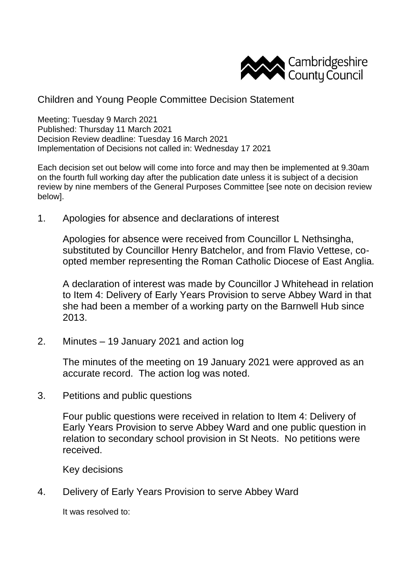

Children and Young People Committee Decision Statement

Meeting: Tuesday 9 March 2021 Published: Thursday 11 March 2021 Decision Review deadline: Tuesday 16 March 2021 Implementation of Decisions not called in: Wednesday 17 2021

Each decision set out below will come into force and may then be implemented at 9.30am on the fourth full working day after the publication date unless it is subject of a decision review by nine members of the General Purposes Committee [see note on decision review below].

1. Apologies for absence and declarations of interest

Apologies for absence were received from Councillor L Nethsingha, substituted by Councillor Henry Batchelor, and from Flavio Vettese, coopted member representing the Roman Catholic Diocese of East Anglia.

A declaration of interest was made by Councillor J Whitehead in relation to Item 4: Delivery of Early Years Provision to serve Abbey Ward in that she had been a member of a working party on the Barnwell Hub since 2013.

2. Minutes – 19 January 2021 and action log

The minutes of the meeting on 19 January 2021 were approved as an accurate record. The action log was noted.

3. Petitions and public questions

Four public questions were received in relation to Item 4: Delivery of Early Years Provision to serve Abbey Ward and one public question in relation to secondary school provision in St Neots. No petitions were received.

Key decisions

4. Delivery of Early Years Provision to serve Abbey Ward

It was resolved to: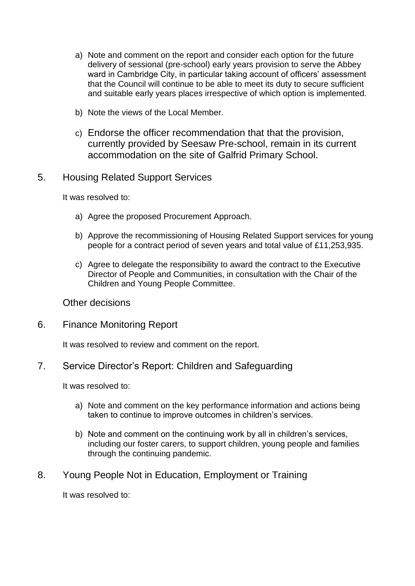- a) Note and comment on the report and consider each option for the future delivery of sessional (pre-school) early years provision to serve the Abbey ward in Cambridge City, in particular taking account of officers' assessment that the Council will continue to be able to meet its duty to secure sufficient and suitable early years places irrespective of which option is implemented.
- b) Note the views of the Local Member.
- c) Endorse the officer recommendation that that the provision, currently provided by Seesaw Pre-school, remain in its current accommodation on the site of Galfrid Primary School.
- 5. Housing Related Support Services

It was resolved to:

- a) Agree the proposed Procurement Approach.
- b) Approve the recommissioning of Housing Related Support services for young people for a contract period of seven years and total value of £11,253,935.
- c) Agree to delegate the responsibility to award the contract to the Executive Director of People and Communities, in consultation with the Chair of the Children and Young People Committee.

Other decisions

6. Finance Monitoring Report

It was resolved to review and comment on the report.

7. Service Director's Report: Children and Safeguarding

It was resolved to:

- a) Note and comment on the key performance information and actions being taken to continue to improve outcomes in children's services.
- b) Note and comment on the continuing work by all in children's services, including our foster carers, to support children, young people and families through the continuing pandemic.
- 8. Young People Not in Education, Employment or Training

It was resolved to: